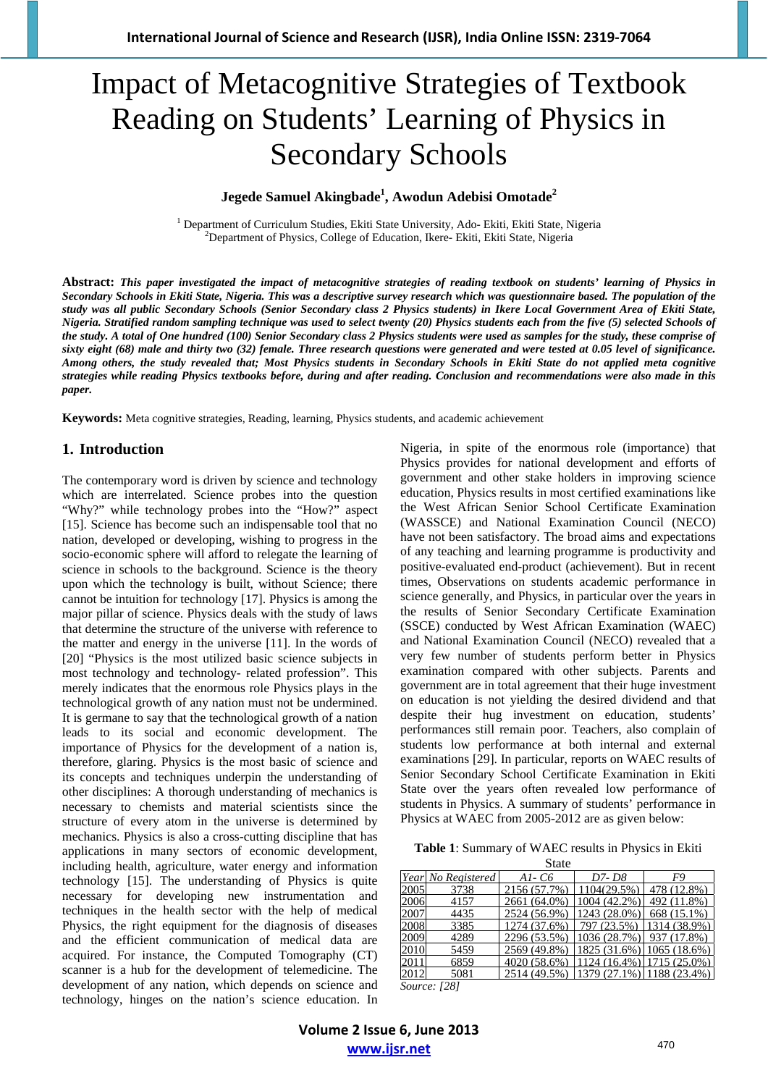# Impact of Metacognitive Strategies of Textbook Reading on Students' Learning of Physics in Secondary Schools

## **Jegede Samuel Akingbade1 , Awodun Adebisi Omotade<sup>2</sup>**

<sup>1</sup> Department of Curriculum Studies, Ekiti State University, Ado- Ekiti, Ekiti State, Nigeria <sup>2</sup> Department of Physics. Colloge of Education, Ikere, Ekiti, Ekiti State, Nigeria  $^{2}$ Department of Physics, College of Education, Ikere- Ekiti, Ekiti State, Nigeria

**Abstract:** *This paper investigated the impact of metacognitive strategies of reading textbook on students' learning of Physics in Secondary Schools in Ekiti State, Nigeria. This was a descriptive survey research which was questionnaire based. The population of the study was all public Secondary Schools (Senior Secondary class 2 Physics students) in Ikere Local Government Area of Ekiti State, Nigeria. Stratified random sampling technique was used to select twenty (20) Physics students each from the five (5) selected Schools of the study. A total of One hundred (100) Senior Secondary class 2 Physics students were used as samples for the study, these comprise of sixty eight (68) male and thirty two (32) female. Three research questions were generated and were tested at 0.05 level of significance. Among others, the study revealed that; Most Physics students in Secondary Schools in Ekiti State do not applied meta cognitive strategies while reading Physics textbooks before, during and after reading. Conclusion and recommendations were also made in this paper.*

**Keywords:** Meta cognitive strategies, Reading, learning, Physics students, and academic achievement

#### **1. Introduction**

The contemporary word is driven by science and technology which are interrelated. Science probes into the question "Why?" while technology probes into the "How?" aspect [15]. Science has become such an indispensable tool that no nation, developed or developing, wishing to progress in the socio-economic sphere will afford to relegate the learning of science in schools to the background. Science is the theory upon which the technology is built, without Science; there cannot be intuition for technology [17]. Physics is among the major pillar of science. Physics deals with the study of laws that determine the structure of the universe with reference to the matter and energy in the universe [11]. In the words of [20] "Physics is the most utilized basic science subjects in most technology and technology- related profession". This merely indicates that the enormous role Physics plays in the technological growth of any nation must not be undermined. It is germane to say that the technological growth of a nation leads to its social and economic development. The importance of Physics for the development of a nation is, therefore, glaring. Physics is the most basic of science and its concepts and techniques underpin the understanding of other disciplines: A thorough understanding of mechanics is necessary to chemists and material scientists since the structure of every atom in the universe is determined by mechanics. Physics is also a cross-cutting discipline that has applications in many sectors of economic development, including health, agriculture, water energy and information technology [15]. The understanding of Physics is quite necessary for developing new instrumentation and techniques in the health sector with the help of medical Physics, the right equipment for the diagnosis of diseases and the efficient communication of medical data are acquired. For instance, the Computed Tomography (CT) scanner is a hub for the development of telemedicine. The development of any nation, which depends on science and technology, hinges on the nation's science education. In Nigeria, in spite of the enormous role (importance) that Physics provides for national development and efforts of government and other stake holders in improving science education, Physics results in most certified examinations like the West African Senior School Certificate Examination (WASSCE) and National Examination Council (NECO) have not been satisfactory. The broad aims and expectations of any teaching and learning programme is productivity and positive-evaluated end-product (achievement). But in recent times, Observations on students academic performance in science generally, and Physics, in particular over the years in the results of Senior Secondary Certificate Examination (SSCE) conducted by West African Examination (WAEC) and National Examination Council (NECO) revealed that a very few number of students perform better in Physics examination compared with other subjects. Parents and government are in total agreement that their huge investment on education is not yielding the desired dividend and that despite their hug investment on education, students' performances still remain poor. Teachers, also complain of students low performance at both internal and external examinations [29]. In particular, reports on WAEC results of Senior Secondary School Certificate Examination in Ekiti State over the years often revealed low performance of students in Physics. A summary of students' performance in Physics at WAEC from 2005-2012 are as given below:

**Table 1**: Summary of WAEC results in Physics in Ekiti **State** 

|      |                                | <u>.</u>     |                             |                          |
|------|--------------------------------|--------------|-----------------------------|--------------------------|
|      | Year No Registered             | A1- C6       | D7- D8                      | FQ                       |
| 2005 | 3738                           | 2156 (57.7%) | 1104(29.5%)                 | 478 (12.8%)              |
| 2006 | 4157                           | 2661 (64.0%) | 1004 (42.2%)                | 492 (11.8%)              |
| 2007 | 4435                           | 2524 (56.9%) | $1243(28.0\%)$ 668 (15.1%)  |                          |
| 2008 | 3385                           | 1274 (37.6%) |                             | 797 (23.5%) 1314 (38.9%) |
| 2009 | 4289                           | 2296 (53.5%) | 1036 (28.7%)   937 (17.8%)  |                          |
| 2010 | 5459                           | 2569 (49.8%) | $1825(31.6\%)$ 1065 (18.6%) |                          |
| 2011 | 6859                           | 4020 (58.6%) | $1124(16.4\%)$ 1715 (25.0%) |                          |
| 2012 | 5081                           | 2514 (49.5%) | $1379(27.1\%)$ 1188 (23.4%) |                          |
|      | $C_{1}, \ldots, C_{n}$ $A$ 0.7 |              |                             |                          |

*Source: [28]* 

**Volume 2 Issue 6, June 2013 www.ijsr.net**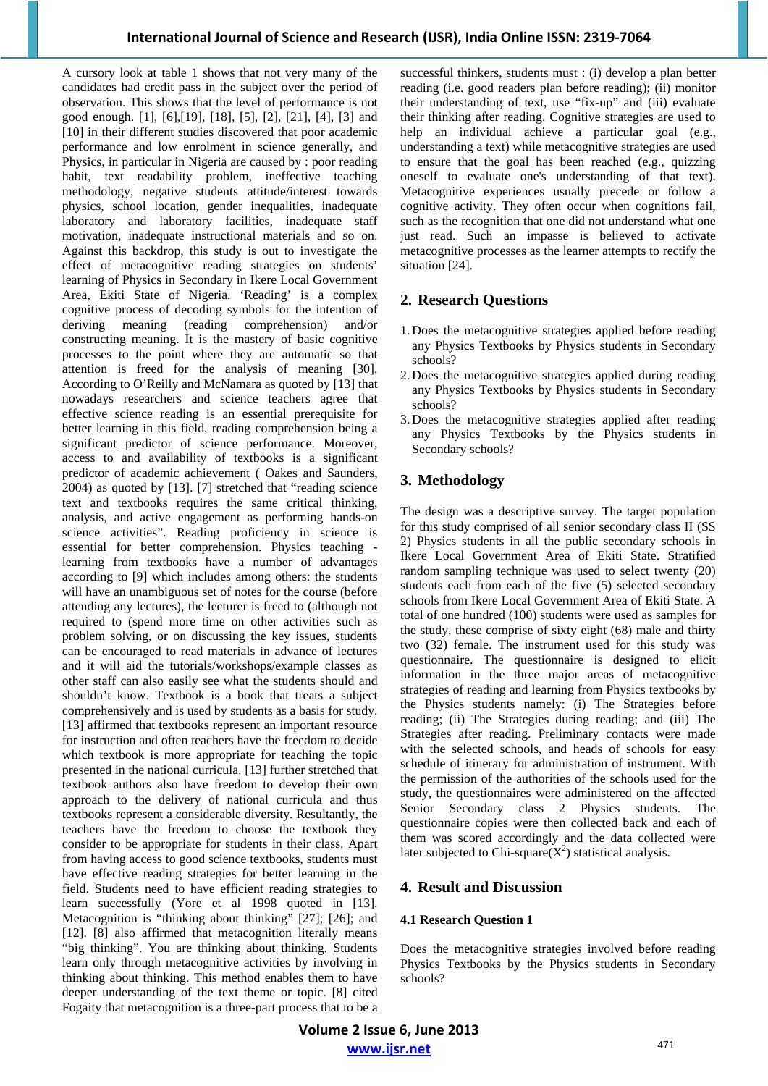A cursory look at table 1 shows that not very many of the candidates had credit pass in the subject over the period of observation. This shows that the level of performance is not good enough. [1], [6],[19], [18], [5], [2], [21], [4], [3] and [10] in their different studies discovered that poor academic performance and low enrolment in science generally, and Physics, in particular in Nigeria are caused by : poor reading habit, text readability problem, ineffective teaching methodology, negative students attitude/interest towards physics, school location, gender inequalities, inadequate laboratory and laboratory facilities, inadequate staff motivation, inadequate instructional materials and so on. Against this backdrop, this study is out to investigate the effect of metacognitive reading strategies on students' learning of Physics in Secondary in Ikere Local Government Area, Ekiti State of Nigeria. 'Reading' is a complex cognitive process of decoding symbols for the intention of deriving meaning (reading comprehension) and/or constructing meaning. It is the mastery of basic cognitive processes to the point where they are automatic so that attention is freed for the analysis of meaning [30]. According to O'Reilly and McNamara as quoted by [13] that nowadays researchers and science teachers agree that effective science reading is an essential prerequisite for better learning in this field, reading comprehension being a significant predictor of science performance. Moreover, access to and availability of textbooks is a significant predictor of academic achievement ( Oakes and Saunders, 2004) as quoted by [13]. [7] stretched that "reading science text and textbooks requires the same critical thinking, analysis, and active engagement as performing hands-on science activities". Reading proficiency in science is essential for better comprehension. Physics teaching learning from textbooks have a number of advantages according to [9] which includes among others: the students will have an unambiguous set of notes for the course (before attending any lectures), the lecturer is freed to (although not required to (spend more time on other activities such as problem solving, or on discussing the key issues, students can be encouraged to read materials in advance of lectures and it will aid the tutorials/workshops/example classes as other staff can also easily see what the students should and shouldn't know. Textbook is a book that treats a subject comprehensively and is used by students as a basis for study. [13] affirmed that textbooks represent an important resource for instruction and often teachers have the freedom to decide which textbook is more appropriate for teaching the topic presented in the national curricula. [13] further stretched that textbook authors also have freedom to develop their own approach to the delivery of national curricula and thus textbooks represent a considerable diversity. Resultantly, the teachers have the freedom to choose the textbook they consider to be appropriate for students in their class. Apart from having access to good science textbooks, students must have effective reading strategies for better learning in the field. Students need to have efficient reading strategies to learn successfully (Yore et al 1998 quoted in [13]. Metacognition is "thinking about thinking" [27]; [26]; and [12]. [8] also affirmed that metacognition literally means "big thinking". You are thinking about thinking. Students learn only through metacognitive activities by involving in thinking about thinking. This method enables them to have deeper understanding of the text theme or topic. [8] cited Fogaity that metacognition is a three-part process that to be a successful thinkers, students must : (i) develop a plan better reading (i.e. good readers plan before reading); (ii) monitor their understanding of text, use "fix-up" and (iii) evaluate their thinking after reading. Cognitive strategies are used to help an individual achieve a particular goal (e.g., understanding a text) while metacognitive strategies are used to ensure that the goal has been reached (e.g., quizzing oneself to evaluate one's understanding of that text). Metacognitive experiences usually precede or follow a cognitive activity. They often occur when cognitions fail, such as the recognition that one did not understand what one just read. Such an impasse is believed to activate metacognitive processes as the learner attempts to rectify the situation [24].

## **2. Research Questions**

- 1. Does the metacognitive strategies applied before reading any Physics Textbooks by Physics students in Secondary schools?
- 2. Does the metacognitive strategies applied during reading any Physics Textbooks by Physics students in Secondary schools?
- 3. Does the metacognitive strategies applied after reading any Physics Textbooks by the Physics students in Secondary schools?

# **3. Methodology**

The design was a descriptive survey. The target population for this study comprised of all senior secondary class II (SS 2) Physics students in all the public secondary schools in Ikere Local Government Area of Ekiti State. Stratified random sampling technique was used to select twenty (20) students each from each of the five (5) selected secondary schools from Ikere Local Government Area of Ekiti State. A total of one hundred (100) students were used as samples for the study, these comprise of sixty eight (68) male and thirty two (32) female. The instrument used for this study was questionnaire. The questionnaire is designed to elicit information in the three major areas of metacognitive strategies of reading and learning from Physics textbooks by the Physics students namely: (i) The Strategies before reading; (ii) The Strategies during reading; and (iii) The Strategies after reading. Preliminary contacts were made with the selected schools, and heads of schools for easy schedule of itinerary for administration of instrument. With the permission of the authorities of the schools used for the study, the questionnaires were administered on the affected Senior Secondary class 2 Physics students. The questionnaire copies were then collected back and each of them was scored accordingly and the data collected were later subjected to Chi-square $(X^2)$  statistical analysis.

## **4. Result and Discussion**

#### **4.1 Research Question 1**

Does the metacognitive strategies involved before reading Physics Textbooks by the Physics students in Secondary schools?

**Volume 2 Issue 6, June 2013 www.ijsr.net**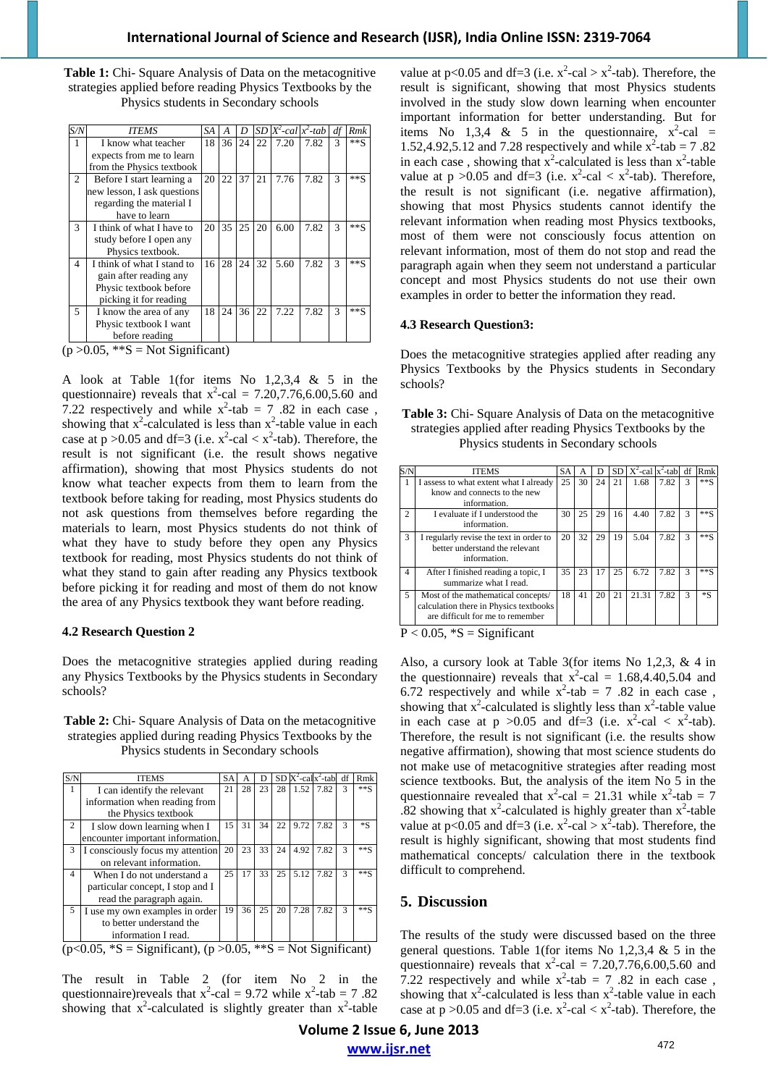| <b>Table 1:</b> Chi-Square Analysis of Data on the metacognitive |
|------------------------------------------------------------------|
| strategies applied before reading Physics Textbooks by the       |
| Physics students in Secondary schools                            |

| S/N           | <b>ITEMS</b>                | SA | А  | D  | SD |      | $X^2$ -cal $x^2$ -tab | df | Rmk    |
|---------------|-----------------------------|----|----|----|----|------|-----------------------|----|--------|
|               | I know what teacher         | 18 | 36 | 24 | 22 | 7.20 | 7.82                  | 3  | $**S$  |
|               | expects from me to learn    |    |    |    |    |      |                       |    |        |
|               | from the Physics textbook   |    |    |    |    |      |                       |    |        |
| 2             | Before I start learning a   | 20 | 22 | 37 | 21 | 7.76 | 7.82                  | 3  | $***S$ |
|               | new lesson, I ask questions |    |    |    |    |      |                       |    |        |
|               | regarding the material I    |    |    |    |    |      |                       |    |        |
|               | have to learn               |    |    |    |    |      |                       |    |        |
| $\mathcal{R}$ | I think of what I have to   | 20 | 35 | 25 | 20 | 6.00 | 7.82                  | 3  | $***S$ |
|               | study before I open any     |    |    |    |    |      |                       |    |        |
|               | Physics textbook.           |    |    |    |    |      |                       |    |        |
| 4             | I think of what I stand to  | 16 | 28 | 24 | 32 | 5.60 | 7.82                  | 3  | $***S$ |
|               | gain after reading any      |    |    |    |    |      |                       |    |        |
|               | Physic textbook before      |    |    |    |    |      |                       |    |        |
|               | picking it for reading      |    |    |    |    |      |                       |    |        |
| 5             | I know the area of any      | 18 | 24 | 36 | 22 | 7.22 | 7.82                  | 3  | $***S$ |
|               | Physic textbook I want      |    |    |    |    |      |                       |    |        |
|               | before reading              |    |    |    |    |      |                       |    |        |

 $(p > 0.05, **S = Not Significant)$ 

A look at Table 1(for items No 1,2,3,4 & 5 in the questionnaire) reveals that  $x^2$ -cal = 7.20,7.76,6.00,5.60 and 7.22 respectively and while  $x^2$ -tab = 7.82 in each case, showing that  $x^2$ -calculated is less than  $x^2$ -table value in each case at  $p > 0.05$  and df=3 (i.e.  $x^2$ -cal <  $x^2$ -tab). Therefore, the result is not significant (i.e. the result shows negative affirmation), showing that most Physics students do not know what teacher expects from them to learn from the textbook before taking for reading, most Physics students do not ask questions from themselves before regarding the materials to learn, most Physics students do not think of what they have to study before they open any Physics textbook for reading, most Physics students do not think of what they stand to gain after reading any Physics textbook before picking it for reading and most of them do not know the area of any Physics textbook they want before reading.

#### **4.2 Research Question 2**

Does the metacognitive strategies applied during reading any Physics Textbooks by the Physics students in Secondary schools?

#### **Table 2:** Chi- Square Analysis of Data on the metacognitive strategies applied during reading Physics Textbooks by the Physics students in Secondary schools

| S/N                                                                                                 | <b>ITEMS</b>                     | <b>SA</b> | А  | D  |    |      | $SD X2-cal X2$ -tab df |              | Rmk     |
|-----------------------------------------------------------------------------------------------------|----------------------------------|-----------|----|----|----|------|------------------------|--------------|---------|
| 1                                                                                                   | I can identify the relevant      | 21        | 28 | 23 | 28 | 1.52 | 7.82                   | 3            | $***S$  |
|                                                                                                     | information when reading from    |           |    |    |    |      |                        |              |         |
|                                                                                                     | the Physics textbook             |           |    |    |    |      |                        |              |         |
| 2                                                                                                   | I slow down learning when I      | 15        | 31 | 34 | 22 | 9.72 | 7.82                   | 3            | $*_{S}$ |
|                                                                                                     | encounter important information. |           |    |    |    |      |                        |              |         |
| 3                                                                                                   | I consciously focus my attention | 20        | 23 | 33 | 24 | 4.92 | 7.82                   | 3            | $***S$  |
|                                                                                                     | on relevant information.         |           |    |    |    |      |                        |              |         |
| $\overline{4}$                                                                                      | When I do not understand a       | 25        | 17 | 33 | 25 | 5.12 | 7.82                   | $\mathbf{3}$ | $***S$  |
|                                                                                                     | particular concept, I stop and I |           |    |    |    |      |                        |              |         |
|                                                                                                     | read the paragraph again.        |           |    |    |    |      |                        |              |         |
| 5                                                                                                   | I use my own examples in order   | 19        | 36 | 25 | 20 | 7.28 | 7.82                   | $\mathbf{3}$ | $***S$  |
|                                                                                                     | to better understand the         |           |    |    |    |      |                        |              |         |
|                                                                                                     | information I read.              |           |    |    |    |      |                        |              |         |
| $(4.4005 \times 0.05)$<br>$\mathbf{M}_{\text{old}}(\mathbf{C},\ldots,\mathbf{C},\ldots,\mathbf{C})$ |                                  |           |    |    |    |      |                        |              |         |

 $(p<0.05, *S =$  Significant),  $(p > 0.05, **S =$  Not Significant)

The result in Table 2 (for item No 2 in the questionnaire)reveals that  $x^2$ -cal = 9.72 while  $x^2$ -tab = 7.82 showing that  $x^2$ -calculated is slightly greater than  $x^2$ -table

value at  $p < 0.05$  and df=3 (i.e.  $x^2$ -cal >  $x^2$ -tab). Therefore, the result is significant, showing that most Physics students involved in the study slow down learning when encounter important information for better understanding. But for items No 1,3,4 & 5 in the questionnaire,  $x^2$ -cal = 1.52,4.92,5.12 and 7.28 respectively and while  $x^2$ -tab = 7.82 in each case, showing that  $x^2$ -calculated is less than  $x^2$ -table value at  $p > 0.05$  and df=3 (i.e.  $x^2$ -cal <  $x^2$ -tab). Therefore, the result is not significant (i.e. negative affirmation), showing that most Physics students cannot identify the relevant information when reading most Physics textbooks, most of them were not consciously focus attention on relevant information, most of them do not stop and read the paragraph again when they seem not understand a particular concept and most Physics students do not use their own examples in order to better the information they read.

## **4.3 Research Question3:**

Does the metacognitive strategies applied after reading any Physics Textbooks by the Physics students in Secondary schools?

**Table 3:** Chi- Square Analysis of Data on the metacognitive strategies applied after reading Physics Textbooks by the Physics students in Secondary schools

|                | <b>ITEMS</b>                                                                                                     | SA | A  | D  |    | $SD   X2-cal   X2-tab   df$ |      |   | Rmk     |
|----------------|------------------------------------------------------------------------------------------------------------------|----|----|----|----|-----------------------------|------|---|---------|
|                | I assess to what extent what I already<br>know and connects to the new<br>information.                           | 25 | 30 | 24 | 21 | 1.68                        | 7.82 | 3 | $**S$   |
| $\overline{c}$ | I evaluate if I understood the<br>information.                                                                   | 30 | 25 | 29 | 16 | 4.40                        | 7.82 | 3 | $**S$   |
| 3              | I regularly revise the text in order to<br>better understand the relevant<br>information.                        | 20 | 32 | 29 | 19 | 5.04                        | 7.82 | 3 | $**S$   |
| 4              | After I finished reading a topic, I<br>summarize what I read.                                                    | 35 | 23 | 17 | 25 | 6.72                        | 7.82 | 3 | $**S$   |
| 5              | Most of the mathematical concepts/<br>calculation there in Physics textbooks<br>are difficult for me to remember | 18 | 41 | 20 | 21 | 21.31                       | 7.82 | 3 | $*_{S}$ |
|                | $D \ge 0.05 \times 0 = 0.000$                                                                                    |    |    |    |    |                             |      |   |         |

 $P < 0.05$ ,  ${}^*S =$  Significant

Also, a cursory look at Table 3(for items No 1,2,3, & 4 in the questionnaire) reveals that  $x^2$ -cal = 1.68,4.40,5.04 and 6.72 respectively and while  $x^2$ -tab = 7 .82 in each case, showing that  $x^2$ -calculated is slightly less than  $x^2$ -table value in each case at  $p > 0.05$  and df=3 (i.e.  $x^2$ -cal <  $x^2$ -tab). Therefore, the result is not significant (i.e. the results show negative affirmation), showing that most science students do not make use of metacognitive strategies after reading most science textbooks. But, the analysis of the item No 5 in the questionnaire revealed that  $x^2$ -cal = 21.31 while  $x^2$ -tab = 7  $\overline{0.82}$  showing that x<sup>2</sup>-calculated is highly greater than x<sup>2</sup>-table value at  $p < 0.05$  and df=3 (i.e.  $x^2$ -cal >  $x^2$ -tab). Therefore, the result is highly significant, showing that most students find mathematical concepts/ calculation there in the textbook difficult to comprehend.

# **5. Discussion**

The results of the study were discussed based on the three general questions. Table 1(for items No 1,2,3,4 & 5 in the questionnaire) reveals that  $x^2$ -cal = 7.20,7.76,6.00,5.60 and 7.22 respectively and while  $x^2$ -tab = 7.82 in each case, showing that  $x^2$ -calculated is less than  $x^2$ -table value in each case at  $p > 0.05$  and df=3 (i.e.  $x^2$ -cal <  $x^2$ -tab). Therefore, the

**Volume 2 Issue 6, June 2013 www.ijsr.net**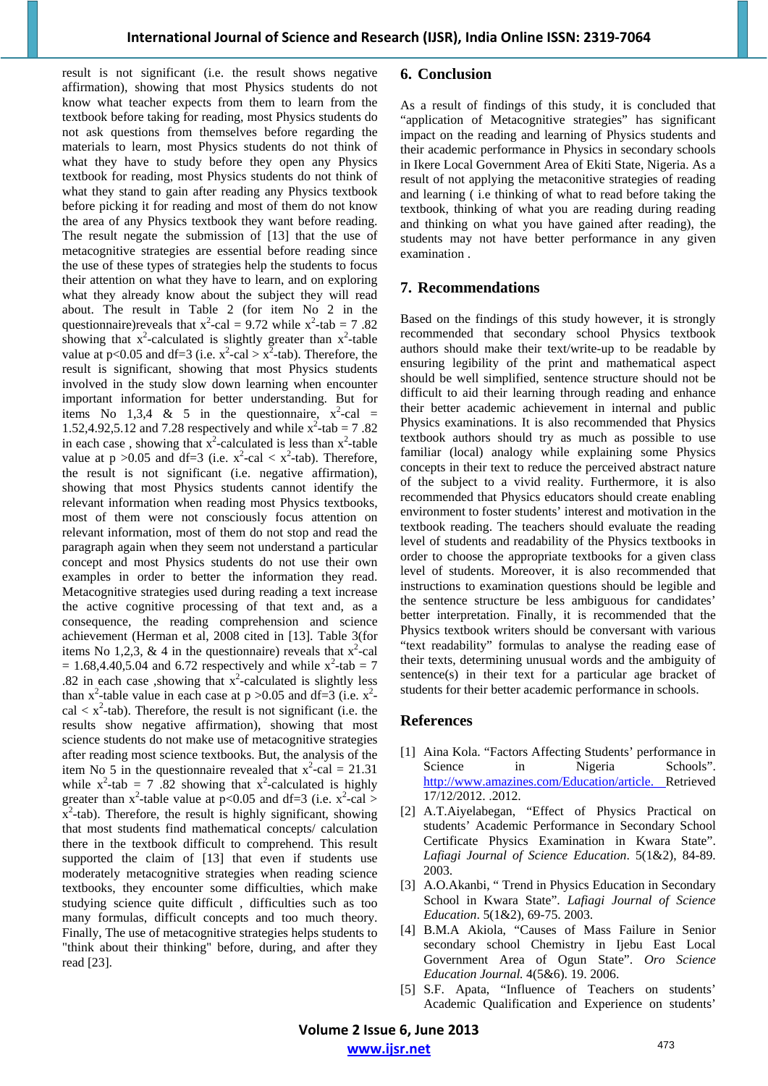result is not significant (i.e. the result shows negative affirmation), showing that most Physics students do not know what teacher expects from them to learn from the textbook before taking for reading, most Physics students do not ask questions from themselves before regarding the materials to learn, most Physics students do not think of what they have to study before they open any Physics textbook for reading, most Physics students do not think of what they stand to gain after reading any Physics textbook before picking it for reading and most of them do not know the area of any Physics textbook they want before reading. The result negate the submission of [13] that the use of metacognitive strategies are essential before reading since the use of these types of strategies help the students to focus their attention on what they have to learn, and on exploring what they already know about the subject they will read about. The result in Table 2 (for item No 2 in the questionnaire)reveals that  $x^2$ -cal = 9.72 while  $x^2$ -tab = 7.82 showing that  $x^2$ -calculated is slightly greater than  $x^2$ -table value at p<0.05 and df=3 (i.e.  $x^2$ -cal >  $x^2$ -tab). Therefore, the result is significant, showing that most Physics students involved in the study slow down learning when encounter important information for better understanding. But for items No 1,3,4 & 5 in the questionnaire,  $x^2$ -cal = 1.52,4.92,5.12 and 7.28 respectively and while  $x^2$ -tab = 7.82 in each case, showing that  $x^2$ -calculated is less than  $x^2$ -table value at  $p > 0.05$  and df=3 (i.e.  $x^2$ -cal <  $x^2$ -tab). Therefore, the result is not significant (i.e. negative affirmation), showing that most Physics students cannot identify the relevant information when reading most Physics textbooks, most of them were not consciously focus attention on relevant information, most of them do not stop and read the paragraph again when they seem not understand a particular concept and most Physics students do not use their own examples in order to better the information they read. Metacognitive strategies used during reading a text increase the active cognitive processing of that text and, as a consequence, the reading comprehension and science achievement (Herman et al, 2008 cited in [13]. Table 3(for items No 1,2,3, & 4 in the questionnaire) reveals that  $x^2$ -cal  $= 1.68, 4.40, 5.04$  and 6.72 respectively and while  $x^2$ -tab  $= 7$ .82 in each case ,showing that  $x^2$ -calculated is slightly less than x<sup>2</sup>-table value in each case at  $p > 0.05$  and df=3 (i.e. x<sup>2</sup>cal  $\langle x^2$ -tab). Therefore, the result is not significant (i.e. the results show negative affirmation), showing that most science students do not make use of metacognitive strategies after reading most science textbooks. But, the analysis of the item No 5 in the questionnaire revealed that  $x^2$ -cal = 21.31 while  $x^2$ -tab = 7.82 showing that  $x^2$ -calculated is highly greater than  $x^2$ -table value at p<0.05 and df=3 (i.e.  $x^2$ -cal >  $\bar{x}^2$ -tab). Therefore, the result is highly significant, showing that most students find mathematical concepts/ calculation there in the textbook difficult to comprehend. This result supported the claim of [13] that even if students use moderately metacognitive strategies when reading science textbooks, they encounter some difficulties, which make studying science quite difficult , difficulties such as too many formulas, difficult concepts and too much theory. Finally, The use of metacognitive strategies helps students to "think about their thinking" before, during, and after they read [23].

#### **6. Conclusion**

As a result of findings of this study, it is concluded that "application of Metacognitive strategies" has significant impact on the reading and learning of Physics students and their academic performance in Physics in secondary schools in Ikere Local Government Area of Ekiti State, Nigeria. As a result of not applying the metaconitive strategies of reading and learning ( i.e thinking of what to read before taking the textbook, thinking of what you are reading during reading and thinking on what you have gained after reading), the students may not have better performance in any given examination .

### **7. Recommendations**

Based on the findings of this study however, it is strongly recommended that secondary school Physics textbook authors should make their text/write-up to be readable by ensuring legibility of the print and mathematical aspect should be well simplified, sentence structure should not be difficult to aid their learning through reading and enhance their better academic achievement in internal and public Physics examinations. It is also recommended that Physics textbook authors should try as much as possible to use familiar (local) analogy while explaining some Physics concepts in their text to reduce the perceived abstract nature of the subject to a vivid reality. Furthermore, it is also recommended that Physics educators should create enabling environment to foster students' interest and motivation in the textbook reading. The teachers should evaluate the reading level of students and readability of the Physics textbooks in order to choose the appropriate textbooks for a given class level of students. Moreover, it is also recommended that instructions to examination questions should be legible and the sentence structure be less ambiguous for candidates' better interpretation. Finally, it is recommended that the Physics textbook writers should be conversant with various "text readability" formulas to analyse the reading ease of their texts, determining unusual words and the ambiguity of sentence(s) in their text for a particular age bracket of students for their better academic performance in schools.

## **References**

- [1] Aina Kola. "Factors Affecting Students' performance in Science in Nigeria Schools". http://www.amazines.com/Education/article. Retrieved 17/12/2012. .2012.
- [2] A.T.Aiyelabegan, "Effect of Physics Practical on students' Academic Performance in Secondary School Certificate Physics Examination in Kwara State". *Lafiagi Journal of Science Education*. 5(1&2), 84-89. 2003.
- [3] A.O.Akanbi, " Trend in Physics Education in Secondary School in Kwara State". *Lafiagi Journal of Science Education*. 5(1&2), 69-75. 2003.
- [4] B.M.A Akiola, "Causes of Mass Failure in Senior secondary school Chemistry in Ijebu East Local Government Area of Ogun State". *Oro Science Education Journal.* 4(5&6). 19. 2006.
- [5] S.F. Apata, "Influence of Teachers on students' Academic Qualification and Experience on students'